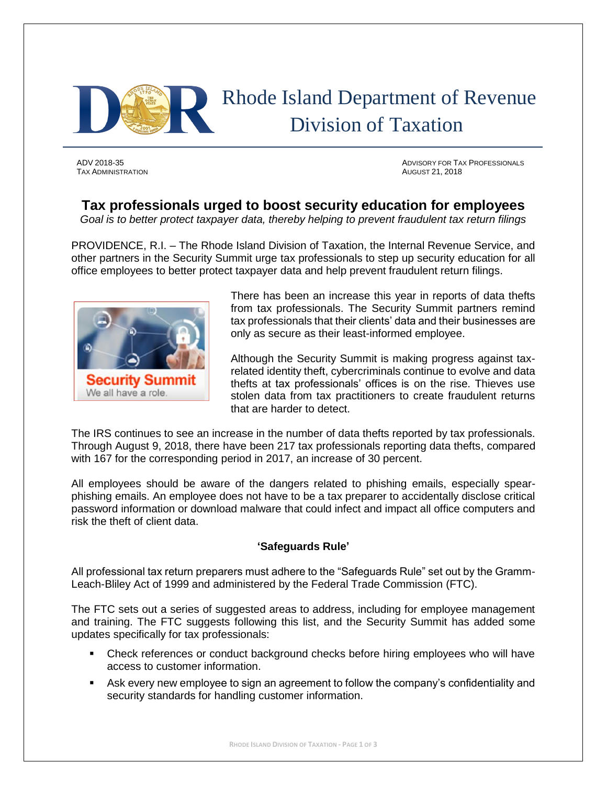

TAX ADMINISTRATION AUGUST 21, 2018

ADV 2018-35 ADVISORY FOR TAX PROFESSIONALS

## **Tax professionals urged to boost security education for employees**

*Goal is to better protect taxpayer data, thereby helping to prevent fraudulent tax return filings*

PROVIDENCE, R.I. – The Rhode Island Division of Taxation, the Internal Revenue Service, and other partners in the Security Summit urge tax professionals to step up security education for all office employees to better protect taxpayer data and help prevent fraudulent return filings.



There has been an increase this year in reports of data thefts from tax professionals. The Security Summit partners remind tax professionals that their clients' data and their businesses are only as secure as their least-informed employee.

Although the Security Summit is making progress against taxrelated identity theft, cybercriminals continue to evolve and data thefts at tax professionals' offices is on the rise. Thieves use stolen data from tax practitioners to create fraudulent returns that are harder to detect.

The IRS continues to see an increase in the number of data thefts reported by tax professionals. Through August 9, 2018, there have been 217 tax professionals reporting data thefts, compared with 167 for the corresponding period in 2017, an increase of 30 percent.

All employees should be aware of the dangers related to phishing emails, especially spearphishing emails. An employee does not have to be a tax preparer to accidentally disclose critical password information or download malware that could infect and impact all office computers and risk the theft of client data.

## **'Safeguards Rule'**

All professional tax return preparers must adhere to the "Safeguards Rule" set out by the Gramm-Leach-Bliley Act of 1999 and administered by the Federal Trade Commission (FTC).

The FTC sets out a series of suggested areas to address, including for employee management and training. The FTC suggests following this list, and the Security Summit has added some updates specifically for tax professionals:

- Check references or conduct background checks before hiring employees who will have access to customer information.
- Ask every new employee to sign an agreement to follow the company's confidentiality and security standards for handling customer information.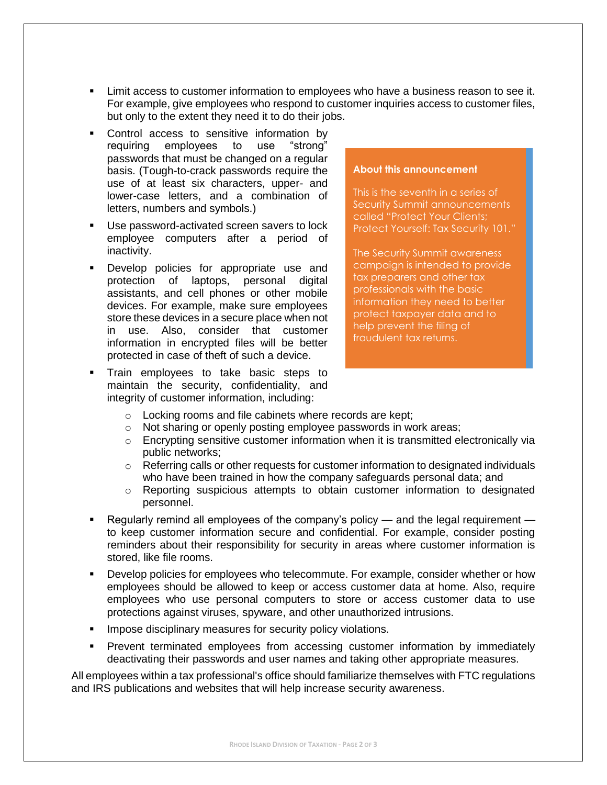- **EXECT** Limit access to customer information to employees who have a business reason to see it. For example, give employees who respond to customer inquiries access to customer files, but only to the extent they need it to do their jobs.
- Control access to sensitive information by requiring employees to use "strong" passwords that must be changed on a regular basis. (Tough-to-crack passwords require the use of at least six characters, upper- and lower-case letters, and a combination of letters, numbers and symbols.)
- Use password-activated screen savers to lock employee computers after a period of inactivity.
- Develop policies for appropriate use and protection of laptops, personal digital assistants, and cell phones or other mobile devices. For example, make sure employees store these devices in a secure place when not in use. Also, consider that customer information in encrypted files will be better protected in case of theft of such a device.
- Train employees to take basic steps to maintain the security, confidentiality, and integrity of customer information, including:

## **About this announcement**

This is the seventh in a series of Security Summit announcements called "Protect Your Clients; Protect Yourself: Tax Security 101."

The Security Summit awareness campaign is intended to provide tax preparers and other tax professionals with the basic information they need to better protect taxpayer data and to help prevent the filing of fraudulent tax returns.

- o Locking rooms and file cabinets where records are kept;
- o Not sharing or openly posting employee passwords in work areas;
- $\circ$  Encrypting sensitive customer information when it is transmitted electronically via public networks;
- $\circ$  Referring calls or other requests for customer information to designated individuals who have been trained in how the company safeguards personal data; and
- o Reporting suspicious attempts to obtain customer information to designated personnel.
- Regularly remind all employees of the company's policy and the legal requirement to keep customer information secure and confidential. For example, consider posting reminders about their responsibility for security in areas where customer information is stored, like file rooms.
- Develop policies for employees who telecommute. For example, consider whether or how employees should be allowed to keep or access customer data at home. Also, require employees who use personal computers to store or access customer data to use protections against viruses, spyware, and other unauthorized intrusions.
- **■** Impose disciplinary measures for security policy violations.
- Prevent terminated employees from accessing customer information by immediately deactivating their passwords and user names and taking other appropriate measures.

All employees within a tax professional's office should familiarize themselves with FTC regulations and IRS publications and websites that will help increase security awareness.